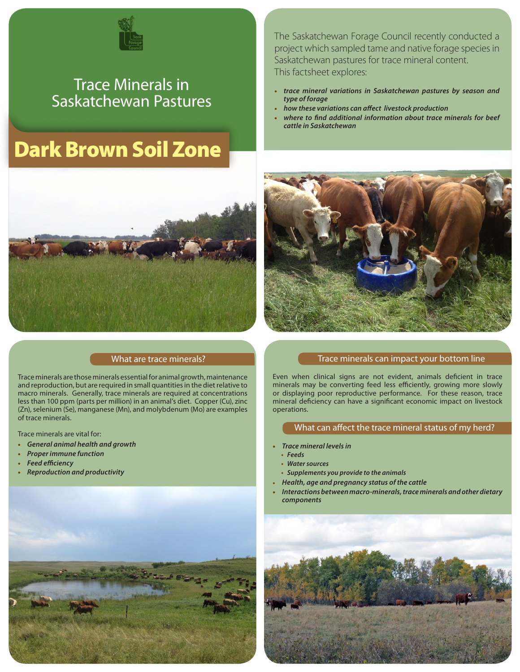

# Trace Minerals in Saskatchewan Pastures

# Dark Brown Soil Zone



### What are trace minerals?

Trace minerals are those minerals essential for animal growth, maintenance and reproduction, but are required in small quantities in the diet relative to macro minerals. Generally, trace minerals are required at concentrations less than 100 ppm (parts per million) in an animal's diet. Copper (Cu), zinc (Zn), selenium (Se), manganese (Mn), and molybdenum (Mo) are examples of trace minerals.

Trace minerals are vital for:

- **•** *General animal health and growth*
- **•** *Proper immune function*
- **•** *Feed efficiency*
- **•** *Reproduction and productivity*



The Saskatchewan Forage Council recently conducted a project which sampled tame and native forage species in Saskatchewan pastures for trace mineral content. This factsheet explores:

- **•** *trace mineral variations in Saskatchewan pastures by season and type of forage*
- **•** *how these variations can affect livestock production*
- **•** *where to find additional information about trace minerals for beef cattle in Saskatchewan*



#### Trace minerals can impact your bottom line

Even when clinical signs are not evident, animals deficient in trace minerals may be converting feed less efficiently, growing more slowly or displaying poor reproductive performance. For these reason, trace mineral deficiency can have a significant economic impact on livestock operations.

#### What can affect the trace mineral status of my herd?

- **•** *Trace mineral levels in*
- **•** *Feeds*
- **•** *Water sources*
- **•** *Supplements you provide to the animals*
- **•** *Health, age and pregnancy status of the cattle*
- **•** *Interactions between macro-minerals, trace minerals and other dietary components*